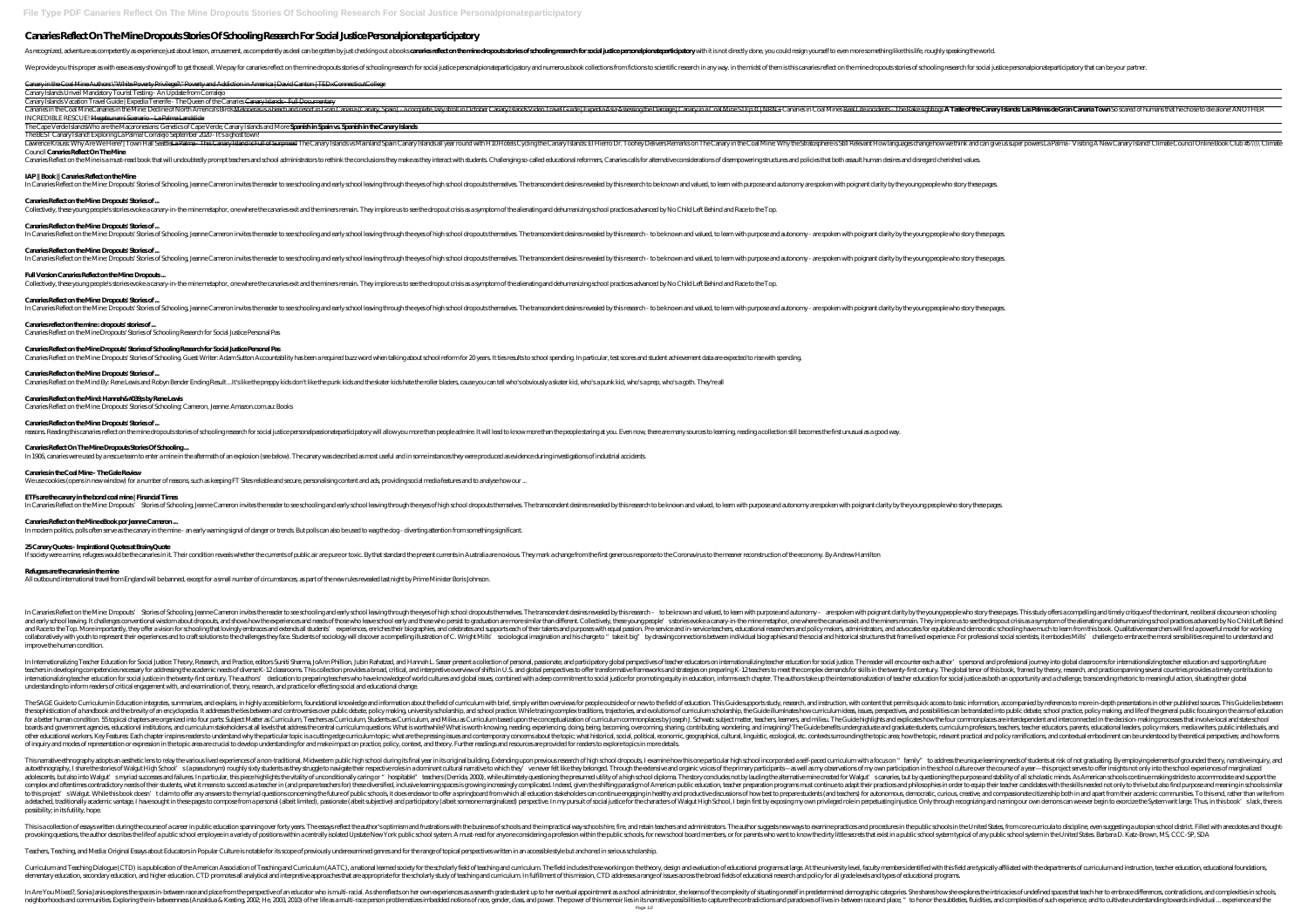# **Canaries Reflect On The Mine Dropouts Stories Of Schooling Research For Social Justice Personalpionateparticipatory**

As recognized, adventure as competently as experience just about lesson, amusement, as competently as deal can be gotten by just checking out a books cararies reflect on the mine dropouts stories of schooling research for

We provide you this proper as with ease as easy showing off to get those all. We pay for canaries reflect on the mine dropouts stories of schooling research in any way, in the midst of them is this canaries reflect on the

Canary in the Coal Mine Authors \"White Poverty Privilege?\" Poverty and Addiction in America | David Canton | TEDxConnecticutCollege

Canary Islands Unveil Mandatory Tourist Testing - An Update from Corralejo

Lawrence Krauss: Why Are We Here? |Town Hall Seattle<del>La Palma - This Canary Island is Full of Surpriscs!</del> The Canary Islands vs Mainland Spain Canary Islands all year round with H10Hotels Cycling the Canary Islands all yea *Council* **Canaries Reflect On The Mine**

Canaries Reflect on the Mine is a must-read book that will undoubtedly prompt teachers and school administrators to rethink the conclusions they make as they interact with students. Challenging so-called educational reform

Canary Islands Vacation Travel Guide | Expedia Tenerife - The Queen of the Canaries Canary Islands - Full Documentary Canaries in the Coal MineCanaries in the Mine: Decline of North America's Birds <del>Meloneras is a beach and resort in Gran Canaria (Canary, Spain) - a complete, lazy stroll in October Canary Islands Video Travel Guide | Expe</del> *INCREDIBLE RESCUE!* Megatsunami Scenario - La Palma Landslide

The Cape Verde Islands*Who are the Macaronesians: Genetics of Cape Verde, Canary Islands and More* **Spanish in Spain vs. Spanish in the Canary Islands**

The BEST Canary Island! Exploring La Palma! Corralejo September 2020 - It's a ghost town!

# **IAP || Book || Canaries Reflect on the Mine**

In Canaries Reflect on the Mine: Dropouts' Stories of Schooling, Jeanne Cameron invites the reader to see schooling and early school leaving through the eyes of high school dropouts themselves. The transcendent desires rev

# **Canaries Reflect on the Mine: Dropouts' Stories of ...**

Collectively, these young people's stories evoke a canary-in-the-mine metaphor, one where the canaries exit and the miners remain. They implore us to see the dropout crisis as a symptom of the alienating and dehumanizing s

#### **Canaries Reflect on the Mine: Dropouts' Stories of ...**

In Canaries Reflect on the Mine: Dropouts' Stories of Schooling, Jeanne Cameron invites the reader to see schooling and early school leaving through the eyes of high school dropouts themselves. The transcendent desires rev

## **Canaries Reflect on the Mine: Dropouts' Stories of ...**

In Canaries Reflect on the Mine: Dropouts' Stories of Schooling, Jeanne Cameron invites the reader to see schooling and early school leaving through the eyes of high school dropouts themselves. The transcendent desires rev

## **Full Version Canaries Reflect on the Mine: Dropouts ...**

Collectively, these young people's stories evoke a canary-in-the-mine metaphor, one where the canaries exit and the miners remain. They implore us to see the dropout crisis as a symptom of the alienating and dehumanizing s

# **Canaries Reflect on the Mine: Dropouts' Stories of ...**

In Canaries Reflect on the Mine: Dropouts' Stories of Schooling, Jeanne Cameron invites the reader to see schooling and early school leaving through the eyes of high school dropouts themselves. The transcendent desires rev

In Canaries Reflect on the Mine: Dropouts' Stories of Schooling, Jeanne Cameron invites the reader to see schooling and early school leaving through the eyes of high school dropouts themselves. The transcendent desires rev is and early school leaving. It challenges conventional wisdom about dropouts, and shows how the experiences and needs of those who leave school early and those who persist to graduation are more similar than different. Co and Race to the Top. More importantly, they offer a vision for schooling that lovingly embraces and extends all students' experiences, enriches their biographies, and advocates for equitable and democratic schooling have m ollaboratively with youth to represent their experiences and to craft solutions to the challenges they face. Students of sociology will discover a compelling illustration of C. Wright Mills sociological imagination and his improve the human condition.

## **Canaries reflect on the mine : dropouts' stories of ...**

Canaries Reflect on the Mine Dropouts' Stories of Schooling Research for Social Justice Personal Pas

## **Canaries Reflect on the Mine Dropouts' Stories of Schooling Research for Social Justice Personal Pas**

Canaries Reflect on the Mine: Dropouts' Stories of Schooling. Guest Writer: Adam Sutton Accountability has been a required buzz word when talking about school reform for 20 years. It ties results to school spending. In par

# **Canaries Reflect on the Mine: Dropouts' Stories of ...**

Canaries Reflect on the Mind By. Rene Lewis and Robyn Bender Ending Result ...It's like the preppy kids don't like the punk kids and the skater kids hate the roller bladers, cause you can tell who's obviously a skater kid,

# Canaries Reflect on the Mind: Hannah&#039,sby Rene Lewis

In Internationalizing Teacher Education for Social Justice: Theory, Research, and Practice, editors Suniti Sharma, JoAnn Phillion, Jubin Rahatzad, and Hannah L. Sasser present a collection of personal, passionate, and part In developing competencies necessary for addressing the academic needs of diverse K- 12 classrooms. This collection provides a broad, critical, and interpretive overview of shifts in U.S. and global perspectives to offer t dedication to preparing teacher education for social justice in the twenty-first century. The authors' dedication to preparing teachers who have knowledge of world cultures and global issues, combined with a deep commitmen understanding to inform readers of critical engagement with, and examination of, theory, research, and practice for effecting social and educational change.

The SAGE Guide to Curriculum in Education integrates, summarizes, and explains, in highly accessible form, foundational knowledge and information about the field of curriculum with brief, simply written overviews for peopl the sophistication of a handbook and the brevity of an encyclopedia. It addresses the ties between and controversies over public debate, policy making, university scholarship, and school practice. While tracing complex tra Into for a better human condition. 55 topical chapters are organized into four parts. Subject Matter as Curriculum, Teachers as Curriculum, Teachers as Curriculum, Students as Curriculum, and Milieu as Curriculum commonpla boards and government agencies, educational institutions, and curriculum stakeholders at all levels that address the central curriculum questions. What is worth while? What is worth knowing, needing, experiencing, doing, b nother educational workers. Key Features Each chapter inspires readers to understand why the particular topic is a cutting edge curriculum topic; what are the pressing issues and contemporary concerns about the topic; what of inquiry and modes of representation or expression in the topic area are crucial to develop understanding for and make impact on practice, policy, context, and theory. Further readings and resources are provided for read

Canaries Reflect on the Mine: Dropouts' Stories of Schooling: Cameron, Jeanne: Amazon.com.au: Books

## **Canaries Reflect on the Mine: Dropouts' Stories of ...**

reasons. Reading this canaries reflect on the mine dropouts stories of schooling research for social justice personalpassionateparticipatory will allow you more than people admire. It will lead to know more than the people

# **Canaries Reflect On The Mine Dropouts Stories Of Schooling ...**

In 1906, canaries were used by a rescue team to enter a mine in the aftermath of an explosion (see below). The canary was described as most useful and in some instances they were produced as evidence during investigations

**Canaries in the Coal Mine - The Gale Review** We use cookies (opens in new window) for a number of reasons, such as keeping FT Sites reliable and secure, personalising content and ads, providing social media features and to analyse how our ...

## **ETFs are the canary in the bond coal mine | Financial Times**

In Canaries Reflect on the Mine: Dropouts' Stories of Schooling, Jeanne Cameron invites the reader to see schooling and early school leaving through the eyes of high school dropouts themselves. The transcendent desires rev

## **Canaries Reflect on the Mine eBook por Jeanne Cameron ...**

In modern politics, polls often serve as the canary in the mine - an early warning signal of danger or trends. But polls can also be used to wag the dog - diverting attention from something significant.

# **25 Canary Quotes - Inspirational Quotes at BrainyQuote**

If society were a mine, refugees would be the canaries in it. Their condition reveals whether the currents of public air are pure or toxic. By that standard the present currents in Australia are noxious. They mark a change

#### **Refugees are the canaries in the mine**

All outbound international travel from England will be banned, except for a small number of circumstances, as part of the new rules revealed last night by Prime Minister Boris Johnson.

Enteroperative ethnography adopts an aesthetic lens to relay the various lived experiences of a non-traditional, Midwestern public high school during its final year in its original building. Extending upon previous researc autoethnography, I share the stories of Walgut High School's (a pseudonym) roughly sixty students as they struggle to navigate their respective roles in a dominant cultural narrative to which they've never felt like they b into Walgut's myriad successes and failures. In particular, this piece highlights the vitality of unconditionally caring or "hospitable" teachers (Derrida, 2000), while ultimately questioning the purpose and stability of a complex and oftentimes contradictory needs of their students, what it means to succeed as a teacher in (and prepare teachers for) these diversified, inclusive learning spaces is growing increasingly complicated. Indeed, gi to this project's Walgut. While this book doesn't daim to offer any answers to the myriad questions concerning the future of public schools, it does endeavor to offer a springboard from which all education stakeholders can a detached, traditionally academic vantage, I have sought in these pages to compose from a personal (albeit limited), passionate (albeit subjective) and participatory (albeit subjective) and participatory (albeit subjectiv possibility; in its futility, hope.

This is a collection of essays written during the course of a career in public education spanning over forty years. The essays reflect the author's optimism and frustrations with the business of schools and the impractical in a variety of positions within a centrally isolated Upstate New York public school system. A must-read for anyone considering a profession within the public school system typical of any public school system in the United

## Teachers, Teaching, and Media: Original Essays about Educators in Popular Culture is notable for its scope of previously underexamined genres and for the range of topical perspectives written in an accessible style but anc

Curriculum and Teaching Dialogue (CTD) is a publication of the American Association of Teaching and Curriculum (AATC), a national learned society for the scholarly field of teaching and curriculum. The field includes those elementary education, secondary education, and higher education. CTD promotes all analytical and interpretive approaches that are appropriate for the scholarly study of teaching and curriculum. In fulfillment of this missi

In Are You Mixed?, Sonia Janis explores the spaces in- between race and place from the perspective of an educator who is multi-racial. As she reflects on her own experiences as a seventh grade student up to her eventual ap neighborhoods and communities. Exploring the in- betweenness (Anzaldua & Keating, 2002, He, 2003, 2010) of her life as a multi-race person problematizes imbedded notions of race, gender, class, and power. The power of this Page 1/2